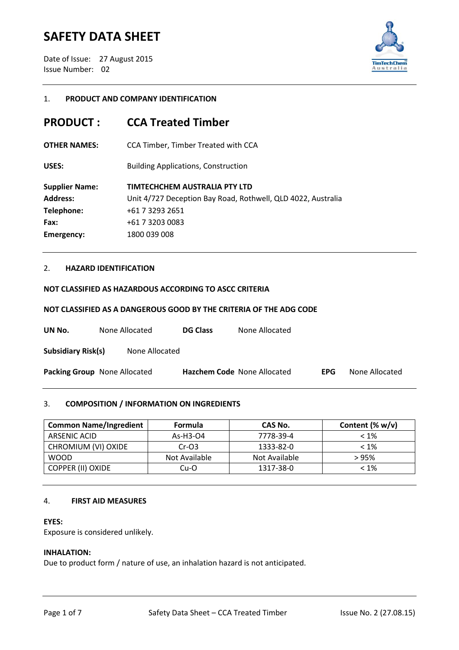Date of Issue: 27 August 2015 Issue Number: 02



## 1. **PRODUCT AND COMPANY IDENTIFICATION**

## **PRODUCT : CCA Treated Timber**

**OTHER NAMES:** CCA Timber, Timber Treated with CCA

**USES:** Building Applications, Construction

| <b>Supplier Name:</b> | TIMTECHCHEM AUSTRALIA PTY LTD                                |
|-----------------------|--------------------------------------------------------------|
| <b>Address:</b>       | Unit 4/727 Deception Bay Road, Rothwell, QLD 4022, Australia |
| Telephone:            | +61 7 3293 2651                                              |
| Fax:                  | +61 7 3203 0083                                              |
| <b>Emergency:</b>     | 1800 039 008                                                 |

## 2. **HAZARD IDENTIFICATION**

### **NOT CLASSIFIED AS HAZARDOUS ACCORDING TO ASCC CRITERIA**

#### **NOT CLASSIFIED AS A DANGEROUS GOOD BY THE CRITERIA OF THE ADG CODE**

| UN No.                    | None Allocated                      | <b>DG Class</b> | None Allocated              |            |                |
|---------------------------|-------------------------------------|-----------------|-----------------------------|------------|----------------|
| <b>Subsidiary Risk(s)</b> | None Allocated                      |                 |                             |            |                |
|                           | <b>Packing Group</b> None Allocated |                 | Hazchem Code None Allocated | <b>EPG</b> | None Allocated |

## 3. **COMPOSITION / INFORMATION ON INGREDIENTS**

| <b>Common Name/Ingredient</b> | <b>Formula</b> | CAS No.       | Content $(\% w/v)$ |
|-------------------------------|----------------|---------------|--------------------|
| ARSENIC ACID                  | As-H3-04       | 7778-39-4     | $< 1\%$            |
| CHROMIUM (VI) OXIDE           | $Cr-O3$        | 1333-82-0     | $< 1\%$            |
| <b>WOOD</b>                   | Not Available  | Not Available | >95%               |
| <b>COPPER (II) OXIDE</b>      | Cu-O           | 1317-38-0     | $< 1\%$            |

#### 4. **FIRST AID MEASURES**

#### **EYES:**

Exposure is considered unlikely.

#### **INHALATION:**

Due to product form / nature of use, an inhalation hazard is not anticipated.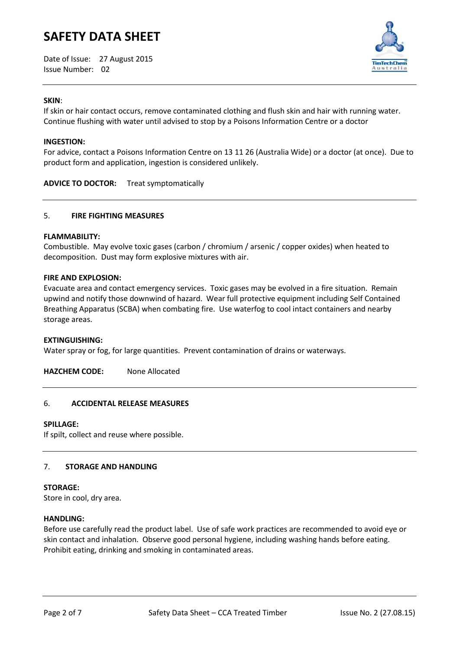Date of Issue: 27 August 2015 Issue Number: 02



### **SKIN**:

If skin or hair contact occurs, remove contaminated clothing and flush skin and hair with running water. Continue flushing with water until advised to stop by a Poisons Information Centre or a doctor

#### **INGESTION:**

For advice, contact a Poisons Information Centre on 13 11 26 (Australia Wide) or a doctor (at once). Due to product form and application, ingestion is considered unlikely.

**ADVICE TO DOCTOR:** Treat symptomatically

### 5. **FIRE FIGHTING MEASURES**

#### **FLAMMABILITY:**

Combustible. May evolve toxic gases (carbon / chromium / arsenic / copper oxides) when heated to decomposition. Dust may form explosive mixtures with air.

#### **FIRE AND EXPLOSION:**

Evacuate area and contact emergency services. Toxic gases may be evolved in a fire situation. Remain upwind and notify those downwind of hazard. Wear full protective equipment including Self Contained Breathing Apparatus (SCBA) when combating fire. Use waterfog to cool intact containers and nearby storage areas.

#### **EXTINGUISHING:**

Water spray or fog, for large quantities. Prevent contamination of drains or waterways.

**HAZCHEM CODE:** None Allocated

## 6. **ACCIDENTAL RELEASE MEASURES**

#### **SPILLAGE:**

If spilt, collect and reuse where possible.

## 7. **STORAGE AND HANDLING**

#### **STORAGE:**

Store in cool, dry area.

#### **HANDLING:**

Before use carefully read the product label. Use of safe work practices are recommended to avoid eye or skin contact and inhalation. Observe good personal hygiene, including washing hands before eating. Prohibit eating, drinking and smoking in contaminated areas.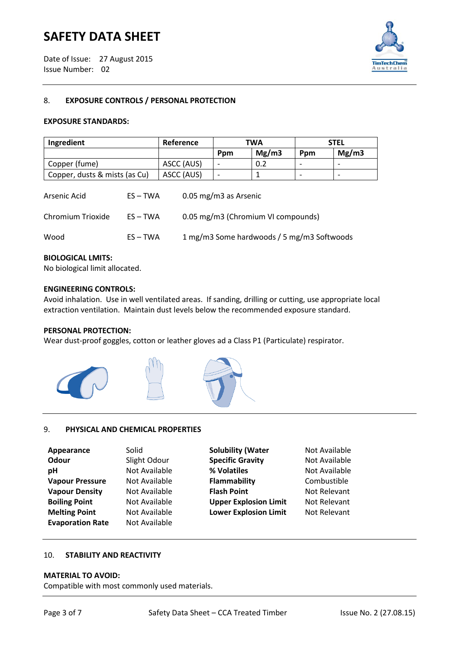Date of Issue: 27 August 2015 Issue Number: 02



## 8. **EXPOSURE CONTROLS / PERSONAL PROTECTION**

#### **EXPOSURE STANDARDS:**

| Ingredient                    | Reference  | <b>TWA</b> |       | STEL |       |
|-------------------------------|------------|------------|-------|------|-------|
|                               |            | Ppm        | Mg/m3 | Ppm  | Mg/m3 |
| Copper (fume)                 | ASCC (AUS) |            | 0.2   | -    |       |
| Copper, dusts & mists (as Cu) | ASCC (AUS) |            |       |      |       |

| Arsenic Acid      | $ES - TWA$ | $0.05$ mg/m3 as Arsenic                    |
|-------------------|------------|--------------------------------------------|
| Chromium Trioxide | $ES - TWA$ | 0.05 mg/m3 (Chromium VI compounds)         |
| Wood              | $ES - TWA$ | 1 mg/m3 Some hardwoods / 5 mg/m3 Softwoods |

#### **BIOLOGICAL LMITS:**

No biological limit allocated.

#### **ENGINEERING CONTROLS:**

Avoid inhalation. Use in well ventilated areas. If sanding, drilling or cutting, use appropriate local extraction ventilation. Maintain dust levels below the recommended exposure standard.

### **PERSONAL PROTECTION:**

Wear dust-proof goggles, cotton or leather gloves ad a Class P1 (Particulate) respirator.



### 9. **PHYSICAL AND CHEMICAL PROPERTIES**

| Appearance              | Solid         |
|-------------------------|---------------|
| Odour                   | Slight Odour  |
| рH                      | Not Available |
| <b>Vapour Pressure</b>  | Not Available |
| <b>Vapour Density</b>   | Not Available |
| <b>Boiling Point</b>    | Not Available |
| <b>Melting Point</b>    | Not Available |
| <b>Evaporation Rate</b> | Not Available |
|                         |               |

**Solubility (Water** Not Available **Specific Gravity** Not Available **Physics 2 Solution 12 Solution 12 Solution 12 Solution 12 Solution 12 Solution 12 Solution 12 Solution 12 Solution 12 Solution 12 Solution 12 Solution 12 Solution 12 Solution 12 Solution 12 Solution 12 Solution 12 Solut Value 8 Pressures Pressure Flammability Combustible Value 8 Value Point Not Relevant Boilding Point Point Point Relevant** Not Relevant **Melting Melting Lower Explosion Limit** Not Relevant

#### 10. **STABILITY AND REACTIVITY**

#### **MATERIAL TO AVOID:**

Compatible with most commonly used materials.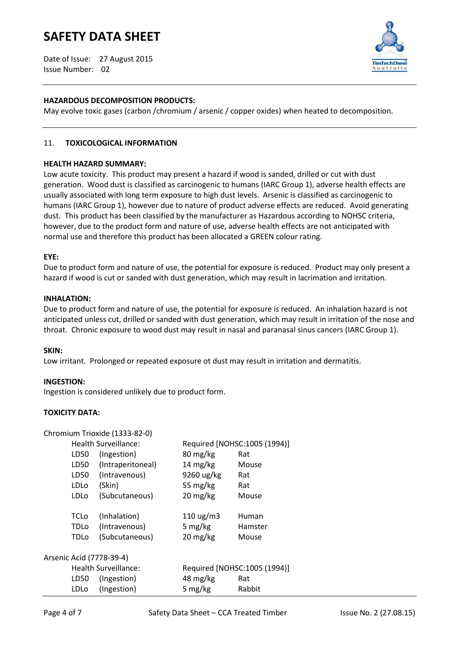Date of Issue: 27 August 2015 Issue Number: 02



## **HAZARDOUS DECOMPOSITION PRODUCTS:**

May evolve toxic gases (carbon /chromium / arsenic / copper oxides) when heated to decomposition.

## 11. **TOXICOLOGICAL INFORMATION**

#### **HEALTH HAZARD SUMMARY:**

Low acute toxicity. This product may present a hazard if wood is sanded, drilled or cut with dust generation. Wood dust is classified as carcinogenic to humans (IARC Group 1), adverse health effects are usually associated with long term exposure to high dust levels. Arsenic is classified as carcinogenic to humans (IARC Group 1), however due to nature of product adverse effects are reduced. Avoid generating dust. This product has been classified by the manufacturer as Hazardous according to NOHSC criteria, however, due to the product form and nature of use, adverse health effects are not anticipated with normal use and therefore this product has been allocated a GREEN colour rating.

#### **EYE:**

Due to product form and nature of use, the potential for exposure is reduced. Product may only present a hazard if wood is cut or sanded with dust generation, which may result in lacrimation and irritation.

#### **INHALATION:**

Due to product form and nature of use, the potential for exposure is reduced. An inhalation hazard is not anticipated unless cut, drilled or sanded with dust generation, which may result in irritation of the nose and throat. Chronic exposure to wood dust may result in nasal and paranasal sinus cancers (IARC Group 1).

#### **SKIN:**

Low irritant. Prolonged or repeated exposure ot dust may result in irritation and dermatitis.

#### **INGESTION:**

Ingestion is considered unlikely due to product form.

## **TOXICITY DATA:**

Chromium Triovide (1222-82-0)

|                      |             | CHIUHIIUHI HIUXIUE (1333-04-0) |                                  |         |
|----------------------|-------------|--------------------------------|----------------------------------|---------|
| Health Surveillance: |             | Required [NOHSC:1005 (1994)]   |                                  |         |
|                      | LD50        | (Ingestion)                    | $80 \,\mathrm{mg/kg}$            | Rat     |
|                      | LD50        | (Intraperitoneal)              | $14 \text{ mg/kg}$               | Mouse   |
|                      | LD50        | (Intravenous)                  | 9260 ug/kg                       | Rat     |
|                      | <b>LDLo</b> | (Skin)                         | 55 mg/kg                         | Rat     |
|                      | LDLo        | (Subcutaneous)                 | $20 \frac{\text{mg}}{\text{kg}}$ | Mouse   |
|                      | <b>TCLo</b> | (Inhalation)                   | $110 \text{ ug/m}$               | Human   |
|                      | <b>TDLo</b> | (Intravenous)                  | 5 mg/kg                          | Hamster |
|                      | TDLo        | (Subcutaneous)                 | $20 \text{ mg/kg}$               | Mouse   |
|                      |             | Arsenic Acid (7778-39-4)       |                                  |         |
| Health Surveillance: |             | Required [NOHSC:1005 (1994)]   |                                  |         |
|                      | LD50        | (Ingestion)                    | 48 mg/kg                         | Rat     |
|                      | <b>LDLo</b> | (Ingestion)                    | 5 mg/kg                          | Rabbit  |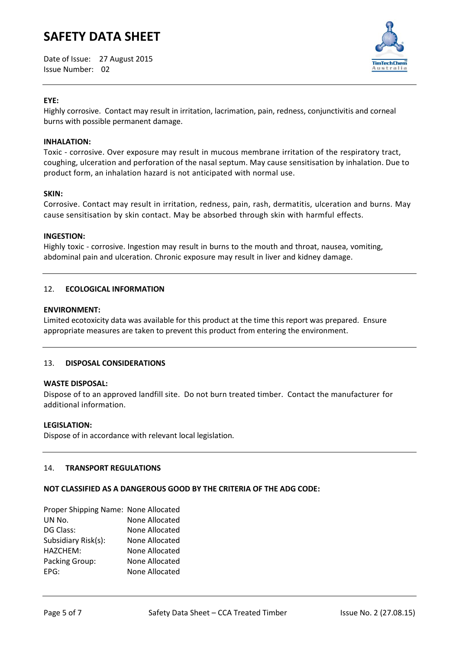Date of Issue: 27 August 2015 Issue Number: 02



## **EYE:**

Highly corrosive. Contact may result in irritation, lacrimation, pain, redness, conjunctivitis and corneal burns with possible permanent damage.

## **INHALATION:**

Toxic - corrosive. Over exposure may result in mucous membrane irritation of the respiratory tract, coughing, ulceration and perforation of the nasal septum. May cause sensitisation by inhalation. Due to product form, an inhalation hazard is not anticipated with normal use.

#### **SKIN:**

Corrosive. Contact may result in irritation, redness, pain, rash, dermatitis, ulceration and burns. May cause sensitisation by skin contact. May be absorbed through skin with harmful effects.

#### **INGESTION:**

Highly toxic - corrosive. Ingestion may result in burns to the mouth and throat, nausea, vomiting, abdominal pain and ulceration. Chronic exposure may result in liver and kidney damage.

## 12. **ECOLOGICAL INFORMATION**

#### **ENVIRONMENT:**

Limited ecotoxicity data was available for this product at the time this report was prepared. Ensure appropriate measures are taken to prevent this product from entering the environment.

## 13. **DISPOSAL CONSIDERATIONS**

### **WASTE DISPOSAL:**

Dispose of to an approved landfill site. Do not burn treated timber. Contact the manufacturer for additional information.

#### **LEGISLATION:**

Dispose of in accordance with relevant local legislation.

#### 14. **TRANSPORT REGULATIONS**

## **NOT CLASSIFIED AS A DANGEROUS GOOD BY THE CRITERIA OF THE ADG CODE:**

| Proper Shipping Name: None Allocated |
|--------------------------------------|
| None Allocated                       |
| None Allocated                       |
| None Allocated                       |
| None Allocated                       |
| None Allocated                       |
| None Allocated                       |
|                                      |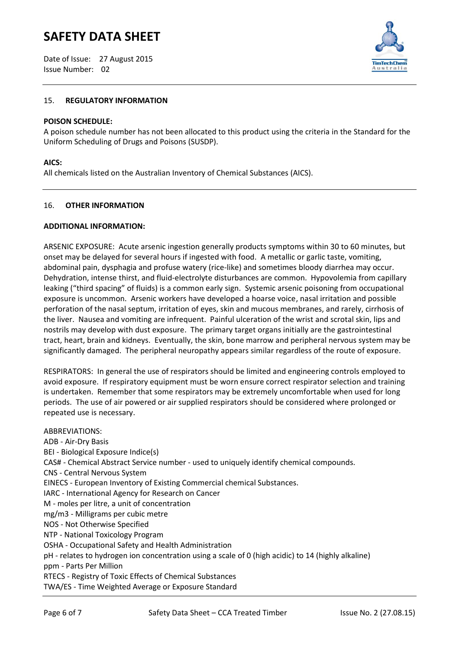Date of Issue: 27 August 2015 Issue Number: 02



## 15. **REGULATORY INFORMATION**

#### **POISON SCHEDULE:**

A poison schedule number has not been allocated to this product using the criteria in the Standard for the Uniform Scheduling of Drugs and Poisons (SUSDP).

## **AICS:**

All chemicals listed on the Australian Inventory of Chemical Substances (AICS).

#### 16. **OTHER INFORMATION**

#### **ADDITIONAL INFORMATION:**

ARSENIC EXPOSURE: Acute arsenic ingestion generally products symptoms within 30 to 60 minutes, but onset may be delayed for several hours if ingested with food. A metallic or garlic taste, vomiting, abdominal pain, dysphagia and profuse watery (rice-like) and sometimes bloody diarrhea may occur. Dehydration, intense thirst, and fluid-electrolyte disturbances are common. Hypovolemia from capillary leaking ("third spacing" of fluids) is a common early sign. Systemic arsenic poisoning from occupational exposure is uncommon. Arsenic workers have developed a hoarse voice, nasal irritation and possible perforation of the nasal septum, irritation of eyes, skin and mucous membranes, and rarely, cirrhosis of the liver. Nausea and vomiting are infrequent. Painful ulceration of the wrist and scrotal skin, lips and nostrils may develop with dust exposure. The primary target organs initially are the gastrointestinal tract, heart, brain and kidneys. Eventually, the skin, bone marrow and peripheral nervous system may be significantly damaged. The peripheral neuropathy appears similar regardless of the route of exposure.

RESPIRATORS: In general the use of respirators should be limited and engineering controls employed to avoid exposure. If respiratory equipment must be worn ensure correct respirator selection and training is undertaken. Remember that some respirators may be extremely uncomfortable when used for long periods. The use of air powered or air supplied respirators should be considered where prolonged or repeated use is necessary.

ABBREVIATIONS: ADB - Air-Dry Basis BEI - Biological Exposure Indice(s) CAS# - Chemical Abstract Service number - used to uniquely identify chemical compounds. CNS - Central Nervous System EINECS - European Inventory of Existing Commercial chemical Substances. IARC - International Agency for Research on Cancer M - moles per litre, a unit of concentration mg/m3 - Milligrams per cubic metre NOS - Not Otherwise Specified NTP - National Toxicology Program OSHA - Occupational Safety and Health Administration pH - relates to hydrogen ion concentration using a scale of 0 (high acidic) to 14 (highly alkaline) ppm - Parts Per Million RTECS - Registry of Toxic Effects of Chemical Substances TWA/ES - Time Weighted Average or Exposure Standard